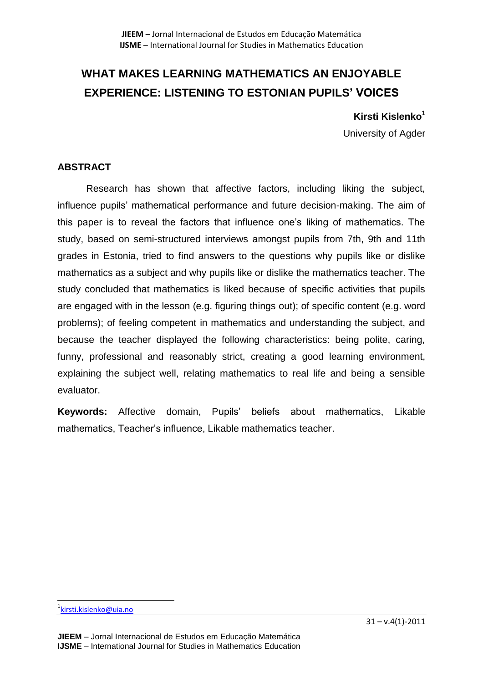# **WHAT MAKES LEARNING MATHEMATICS AN ENJOYABLE EXPERIENCE: LISTENING TO ESTONIAN PUPILS' VOICES**

**Kirsti Kislenko<sup>1</sup>**

University of Agder

## **ABSTRACT**

Research has shown that affective factors, including liking the subject, influence pupils' mathematical performance and future decision-making. The aim of this paper is to reveal the factors that influence one's liking of mathematics. The study, based on semi-structured interviews amongst pupils from 7th, 9th and 11th grades in Estonia, tried to find answers to the questions why pupils like or dislike mathematics as a subject and why pupils like or dislike the mathematics teacher. The study concluded that mathematics is liked because of specific activities that pupils are engaged with in the lesson (e.g. figuring things out); of specific content (e.g. word problems); of feeling competent in mathematics and understanding the subject, and because the teacher displayed the following characteristics: being polite, caring, funny, professional and reasonably strict, creating a good learning environment, explaining the subject well, relating mathematics to real life and being a sensible evaluator.

**Keywords:** Affective domain, Pupils' beliefs about mathematics, Likable mathematics, Teacher's influence, Likable mathematics teacher.

 $\overline{\phantom{a}}$ 

<sup>&</sup>lt;sup>1</sup> kirsti. kislenko@uia.no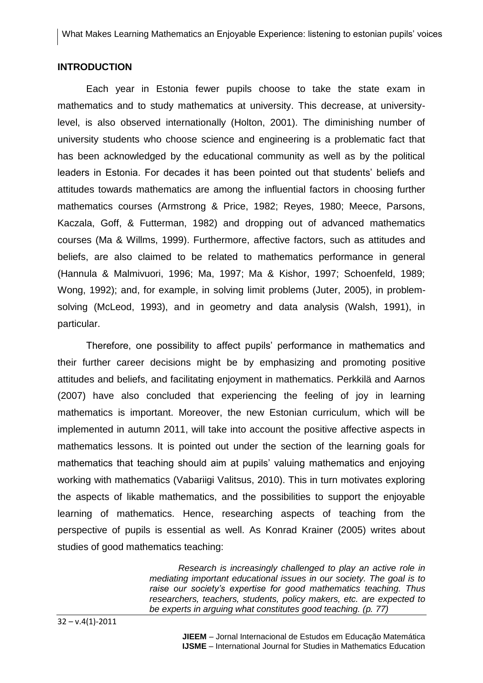#### **INTRODUCTION**

Each year in Estonia fewer pupils choose to take the state exam in mathematics and to study mathematics at university. This decrease, at universitylevel, is also observed internationally (Holton, 2001). The diminishing number of university students who choose science and engineering is a problematic fact that has been acknowledged by the educational community as well as by the political leaders in Estonia. For decades it has been pointed out that students' beliefs and attitudes towards mathematics are among the influential factors in choosing further mathematics courses (Armstrong & Price, 1982; Reyes, 1980; Meece, Parsons, Kaczala, Goff, & Futterman, 1982) and dropping out of advanced mathematics courses (Ma & Willms, 1999). Furthermore, affective factors, such as attitudes and beliefs, are also claimed to be related to mathematics performance in general (Hannula & Malmivuori, 1996; Ma, 1997; Ma & Kishor, 1997; Schoenfeld, 1989; Wong, 1992); and, for example, in solving limit problems (Juter, 2005), in problemsolving (McLeod, 1993), and in geometry and data analysis (Walsh, 1991), in particular.

Therefore, one possibility to affect pupils' performance in mathematics and their further career decisions might be by emphasizing and promoting positive attitudes and beliefs, and facilitating enjoyment in mathematics. Perkkilä and Aarnos (2007) have also concluded that experiencing the feeling of joy in learning mathematics is important. Moreover, the new Estonian curriculum, which will be implemented in autumn 2011, will take into account the positive affective aspects in mathematics lessons. It is pointed out under the section of the learning goals for mathematics that teaching should aim at pupils' valuing mathematics and enjoying working with mathematics (Vabariigi Valitsus, 2010). This in turn motivates exploring the aspects of likable mathematics, and the possibilities to support the enjoyable learning of mathematics. Hence, researching aspects of teaching from the perspective of pupils is essential as well. As Konrad Krainer (2005) writes about studies of good mathematics teaching:

> *Research is increasingly challenged to play an active role in mediating important educational issues in our society. The goal is to raise our society's expertise for good mathematics teaching. Thus researchers, teachers, students, policy makers, etc. are expected to be experts in arguing what constitutes good teaching. (p. 77)*

 $32 - v.4(1) - 2011$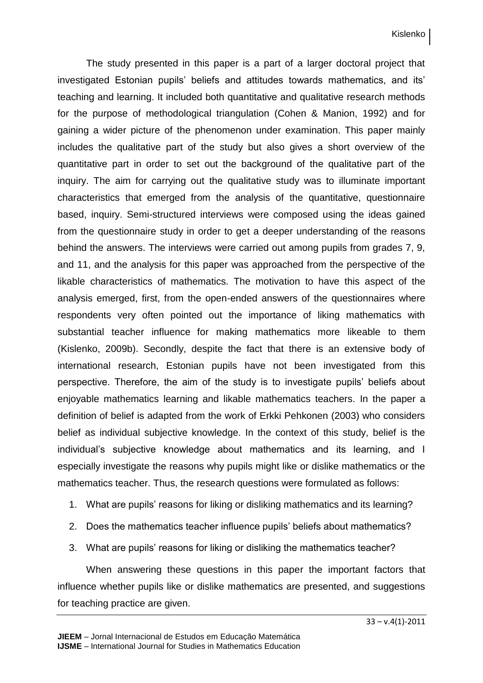The study presented in this paper is a part of a larger doctoral project that investigated Estonian pupils' beliefs and attitudes towards mathematics, and its' teaching and learning. It included both quantitative and qualitative research methods for the purpose of methodological triangulation (Cohen & Manion, 1992) and for gaining a wider picture of the phenomenon under examination. This paper mainly includes the qualitative part of the study but also gives a short overview of the quantitative part in order to set out the background of the qualitative part of the inquiry. The aim for carrying out the qualitative study was to illuminate important characteristics that emerged from the analysis of the quantitative, questionnaire based, inquiry. Semi-structured interviews were composed using the ideas gained from the questionnaire study in order to get a deeper understanding of the reasons behind the answers. The interviews were carried out among pupils from grades 7, 9, and 11, and the analysis for this paper was approached from the perspective of the likable characteristics of mathematics. The motivation to have this aspect of the analysis emerged, first, from the open-ended answers of the questionnaires where respondents very often pointed out the importance of liking mathematics with substantial teacher influence for making mathematics more likeable to them (Kislenko, 2009b). Secondly, despite the fact that there is an extensive body of international research, Estonian pupils have not been investigated from this perspective. Therefore, the aim of the study is to investigate pupils' beliefs about enjoyable mathematics learning and likable mathematics teachers. In the paper a definition of belief is adapted from the work of Erkki Pehkonen (2003) who considers belief as individual subjective knowledge. In the context of this study, belief is the individual's subjective knowledge about mathematics and its learning, and I especially investigate the reasons why pupils might like or dislike mathematics or the mathematics teacher. Thus, the research questions were formulated as follows:

- 1. What are pupils' reasons for liking or disliking mathematics and its learning?
- 2. Does the mathematics teacher influence pupils' beliefs about mathematics?
- 3. What are pupils' reasons for liking or disliking the mathematics teacher?

When answering these questions in this paper the important factors that influence whether pupils like or dislike mathematics are presented, and suggestions for teaching practice are given.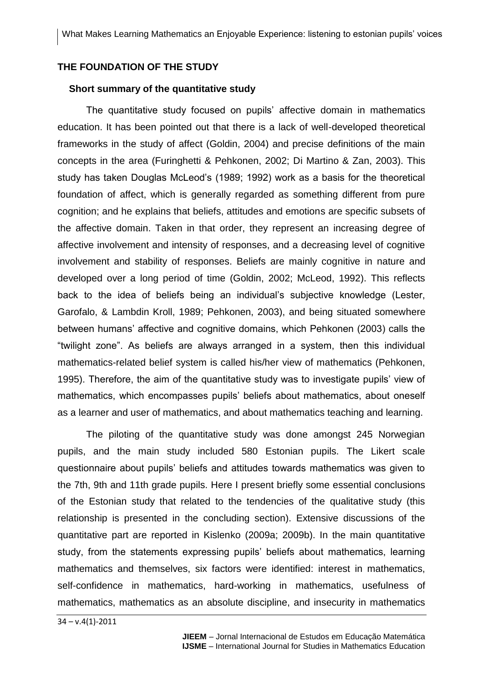## **THE FOUNDATION OF THE STUDY**

#### **Short summary of the quantitative study**

The quantitative study focused on pupils' affective domain in mathematics education. It has been pointed out that there is a lack of well-developed theoretical frameworks in the study of affect (Goldin, 2004) and precise definitions of the main concepts in the area (Furinghetti & Pehkonen, 2002; Di Martino & Zan, 2003). This study has taken Douglas McLeod's (1989; 1992) work as a basis for the theoretical foundation of affect, which is generally regarded as something different from pure cognition; and he explains that beliefs, attitudes and emotions are specific subsets of the affective domain. Taken in that order, they represent an increasing degree of affective involvement and intensity of responses, and a decreasing level of cognitive involvement and stability of responses. Beliefs are mainly cognitive in nature and developed over a long period of time (Goldin, 2002; McLeod, 1992). This reflects back to the idea of beliefs being an individual's subjective knowledge (Lester, Garofalo, & Lambdin Kroll, 1989; Pehkonen, 2003), and being situated somewhere between humans' affective and cognitive domains, which Pehkonen (2003) calls the "twilight zone". As beliefs are always arranged in a system, then this individual mathematics-related belief system is called his/her view of mathematics (Pehkonen, 1995). Therefore, the aim of the quantitative study was to investigate pupils' view of mathematics, which encompasses pupils' beliefs about mathematics, about oneself as a learner and user of mathematics, and about mathematics teaching and learning.

The piloting of the quantitative study was done amongst 245 Norwegian pupils, and the main study included 580 Estonian pupils. The Likert scale questionnaire about pupils' beliefs and attitudes towards mathematics was given to the 7th, 9th and 11th grade pupils. Here I present briefly some essential conclusions of the Estonian study that related to the tendencies of the qualitative study (this relationship is presented in the concluding section). Extensive discussions of the quantitative part are reported in Kislenko (2009a; 2009b). In the main quantitative study, from the statements expressing pupils' beliefs about mathematics, learning mathematics and themselves, six factors were identified: interest in mathematics, self-confidence in mathematics, hard-working in mathematics, usefulness of mathematics, mathematics as an absolute discipline, and insecurity in mathematics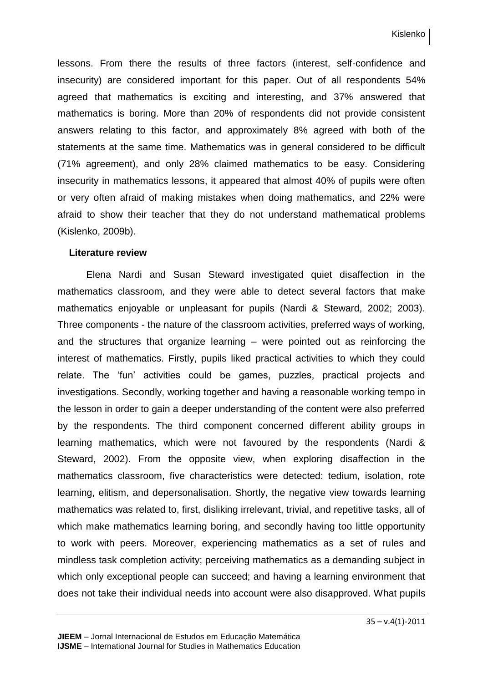lessons. From there the results of three factors (interest, self-confidence and insecurity) are considered important for this paper. Out of all respondents 54% agreed that mathematics is exciting and interesting, and 37% answered that mathematics is boring. More than 20% of respondents did not provide consistent answers relating to this factor, and approximately 8% agreed with both of the statements at the same time. Mathematics was in general considered to be difficult (71% agreement), and only 28% claimed mathematics to be easy. Considering insecurity in mathematics lessons, it appeared that almost 40% of pupils were often or very often afraid of making mistakes when doing mathematics, and 22% were afraid to show their teacher that they do not understand mathematical problems (Kislenko, 2009b).

#### **Literature review**

Elena Nardi and Susan Steward investigated quiet disaffection in the mathematics classroom, and they were able to detect several factors that make mathematics enjoyable or unpleasant for pupils (Nardi & Steward, 2002; 2003). Three components - the nature of the classroom activities, preferred ways of working, and the structures that organize learning – were pointed out as reinforcing the interest of mathematics. Firstly, pupils liked practical activities to which they could relate. The 'fun' activities could be games, puzzles, practical projects and investigations. Secondly, working together and having a reasonable working tempo in the lesson in order to gain a deeper understanding of the content were also preferred by the respondents. The third component concerned different ability groups in learning mathematics, which were not favoured by the respondents (Nardi & Steward, 2002). From the opposite view, when exploring disaffection in the mathematics classroom, five characteristics were detected: tedium, isolation, rote learning, elitism, and depersonalisation. Shortly, the negative view towards learning mathematics was related to, first, disliking irrelevant, trivial, and repetitive tasks, all of which make mathematics learning boring, and secondly having too little opportunity to work with peers. Moreover, experiencing mathematics as a set of rules and mindless task completion activity; perceiving mathematics as a demanding subject in which only exceptional people can succeed; and having a learning environment that does not take their individual needs into account were also disapproved. What pupils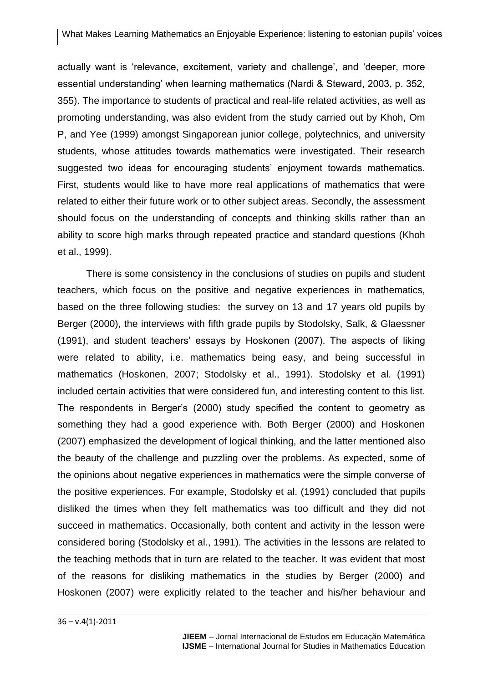actually want is 'relevance, excitement, variety and challenge', and 'deeper, more essential understanding' when learning mathematics (Nardi & Steward, 2003, p. 352, 355). The importance to students of practical and real-life related activities, as well as promoting understanding, was also evident from the study carried out by Khoh, Om P, and Yee (1999) amongst Singaporean junior college, polytechnics, and university students, whose attitudes towards mathematics were investigated. Their research suggested two ideas for encouraging students' enjoyment towards mathematics. First, students would like to have more real applications of mathematics that were related to either their future work or to other subject areas. Secondly, the assessment should focus on the understanding of concepts and thinking skills rather than an ability to score high marks through repeated practice and standard questions (Khoh et al., 1999).

There is some consistency in the conclusions of studies on pupils and student teachers, which focus on the positive and negative experiences in mathematics, based on the three following studies: the survey on 13 and 17 years old pupils by Berger (2000), the interviews with fifth grade pupils by Stodolsky, Salk, & Glaessner (1991), and student teachers' essays by Hoskonen (2007). The aspects of liking were related to ability, i.e. mathematics being easy, and being successful in mathematics (Hoskonen, 2007; Stodolsky et al., 1991). Stodolsky et al. (1991) included certain activities that were considered fun, and interesting content to this list. The respondents in Berger's (2000) study specified the content to geometry as something they had a good experience with. Both Berger (2000) and Hoskonen (2007) emphasized the development of logical thinking, and the latter mentioned also the beauty of the challenge and puzzling over the problems. As expected, some of the opinions about negative experiences in mathematics were the simple converse of the positive experiences. For example, Stodolsky et al. (1991) concluded that pupils disliked the times when they felt mathematics was too difficult and they did not succeed in mathematics. Occasionally, both content and activity in the lesson were considered boring (Stodolsky et al., 1991). The activities in the lessons are related to the teaching methods that in turn are related to the teacher. It was evident that most of the reasons for disliking mathematics in the studies by Berger (2000) and Hoskonen (2007) were explicitly related to the teacher and his/her behaviour and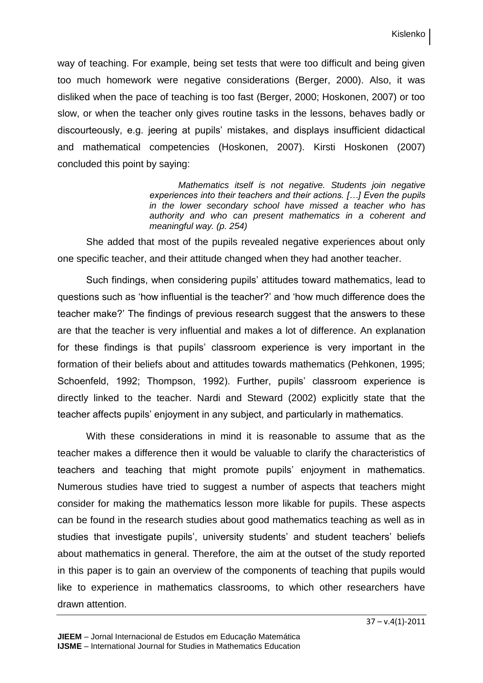way of teaching. For example, being set tests that were too difficult and being given too much homework were negative considerations (Berger, 2000). Also, it was disliked when the pace of teaching is too fast (Berger, 2000; Hoskonen, 2007) or too slow, or when the teacher only gives routine tasks in the lessons, behaves badly or discourteously, e.g. jeering at pupils' mistakes, and displays insufficient didactical and mathematical competencies (Hoskonen, 2007). Kirsti Hoskonen (2007) concluded this point by saying:

> *Mathematics itself is not negative. Students join negative experiences into their teachers and their actions. […] Even the pupils in the lower secondary school have missed a teacher who has authority and who can present mathematics in a coherent and meaningful way. (p. 254)*

She added that most of the pupils revealed negative experiences about only one specific teacher, and their attitude changed when they had another teacher.

Such findings, when considering pupils' attitudes toward mathematics, lead to questions such as 'how influential is the teacher?' and 'how much difference does the teacher make?' The findings of previous research suggest that the answers to these are that the teacher is very influential and makes a lot of difference. An explanation for these findings is that pupils' classroom experience is very important in the formation of their beliefs about and attitudes towards mathematics (Pehkonen, 1995; Schoenfeld, 1992; Thompson, 1992). Further, pupils' classroom experience is directly linked to the teacher. Nardi and Steward (2002) explicitly state that the teacher affects pupils' enjoyment in any subject, and particularly in mathematics.

With these considerations in mind it is reasonable to assume that as the teacher makes a difference then it would be valuable to clarify the characteristics of teachers and teaching that might promote pupils' enjoyment in mathematics. Numerous studies have tried to suggest a number of aspects that teachers might consider for making the mathematics lesson more likable for pupils. These aspects can be found in the research studies about good mathematics teaching as well as in studies that investigate pupils', university students' and student teachers' beliefs about mathematics in general. Therefore, the aim at the outset of the study reported in this paper is to gain an overview of the components of teaching that pupils would like to experience in mathematics classrooms, to which other researchers have drawn attention.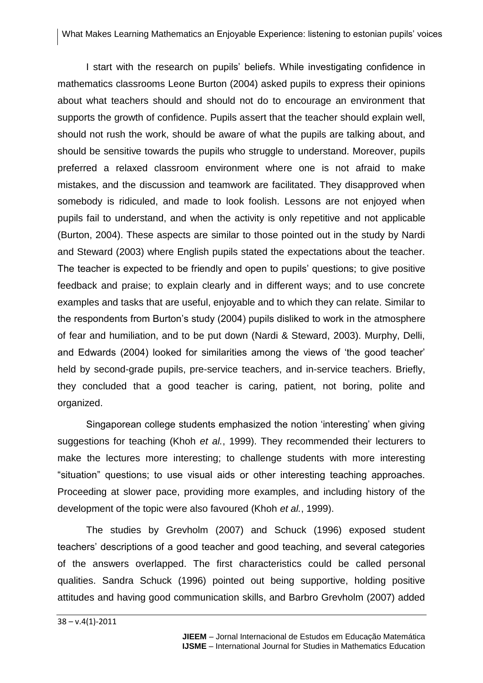I start with the research on pupils' beliefs. While investigating confidence in mathematics classrooms Leone Burton (2004) asked pupils to express their opinions about what teachers should and should not do to encourage an environment that supports the growth of confidence. Pupils assert that the teacher should explain well, should not rush the work, should be aware of what the pupils are talking about, and should be sensitive towards the pupils who struggle to understand. Moreover, pupils preferred a relaxed classroom environment where one is not afraid to make mistakes, and the discussion and teamwork are facilitated. They disapproved when somebody is ridiculed, and made to look foolish. Lessons are not enjoyed when pupils fail to understand, and when the activity is only repetitive and not applicable (Burton, 2004). These aspects are similar to those pointed out in the study by Nardi and Steward (2003) where English pupils stated the expectations about the teacher. The teacher is expected to be friendly and open to pupils' questions; to give positive feedback and praise; to explain clearly and in different ways; and to use concrete examples and tasks that are useful, enjoyable and to which they can relate. Similar to the respondents from Burton's study (2004) pupils disliked to work in the atmosphere of fear and humiliation, and to be put down (Nardi & Steward, 2003). Murphy, Delli, and Edwards (2004) looked for similarities among the views of 'the good teacher' held by second-grade pupils, pre-service teachers, and in-service teachers. Briefly, they concluded that a good teacher is caring, patient, not boring, polite and organized.

Singaporean college students emphasized the notion 'interesting' when giving suggestions for teaching (Khoh *et al.*, 1999). They recommended their lecturers to make the lectures more interesting; to challenge students with more interesting "situation" questions; to use visual aids or other interesting teaching approaches. Proceeding at slower pace, providing more examples, and including history of the development of the topic were also favoured (Khoh *et al.*, 1999).

The studies by Grevholm (2007) and Schuck (1996) exposed student teachers' descriptions of a good teacher and good teaching, and several categories of the answers overlapped. The first characteristics could be called personal qualities. Sandra Schuck (1996) pointed out being supportive, holding positive attitudes and having good communication skills, and Barbro Grevholm (2007) added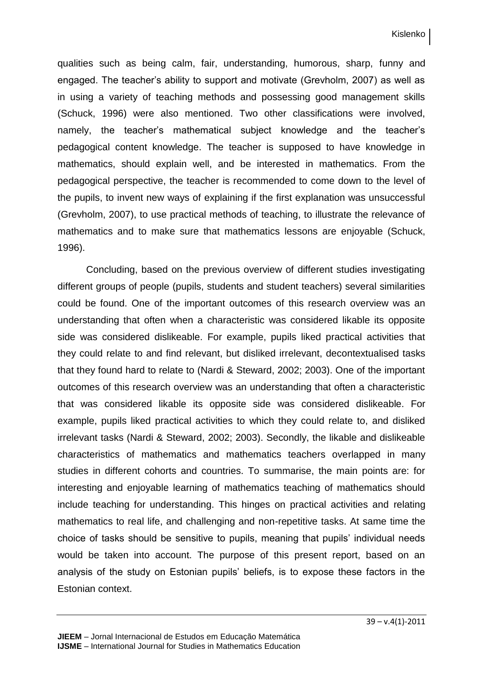qualities such as being calm, fair, understanding, humorous, sharp, funny and engaged. The teacher's ability to support and motivate (Grevholm, 2007) as well as in using a variety of teaching methods and possessing good management skills (Schuck, 1996) were also mentioned. Two other classifications were involved, namely, the teacher's mathematical subject knowledge and the teacher's pedagogical content knowledge. The teacher is supposed to have knowledge in mathematics, should explain well, and be interested in mathematics. From the pedagogical perspective, the teacher is recommended to come down to the level of the pupils, to invent new ways of explaining if the first explanation was unsuccessful (Grevholm, 2007), to use practical methods of teaching, to illustrate the relevance of mathematics and to make sure that mathematics lessons are enjoyable (Schuck, 1996).

Concluding, based on the previous overview of different studies investigating different groups of people (pupils, students and student teachers) several similarities could be found. One of the important outcomes of this research overview was an understanding that often when a characteristic was considered likable its opposite side was considered dislikeable. For example, pupils liked practical activities that they could relate to and find relevant, but disliked irrelevant, decontextualised tasks that they found hard to relate to (Nardi & Steward, 2002; 2003). One of the important outcomes of this research overview was an understanding that often a characteristic that was considered likable its opposite side was considered dislikeable. For example, pupils liked practical activities to which they could relate to, and disliked irrelevant tasks (Nardi & Steward, 2002; 2003). Secondly, the likable and dislikeable characteristics of mathematics and mathematics teachers overlapped in many studies in different cohorts and countries. To summarise, the main points are: for interesting and enjoyable learning of mathematics teaching of mathematics should include teaching for understanding. This hinges on practical activities and relating mathematics to real life, and challenging and non-repetitive tasks. At same time the choice of tasks should be sensitive to pupils, meaning that pupils' individual needs would be taken into account. The purpose of this present report, based on an analysis of the study on Estonian pupils' beliefs, is to expose these factors in the Estonian context.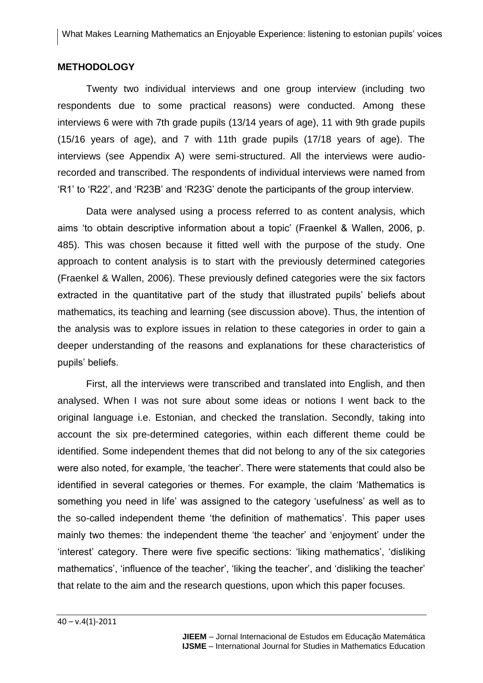## **METHODOLOGY**

Twenty two individual interviews and one group interview (including two respondents due to some practical reasons) were conducted. Among these interviews 6 were with 7th grade pupils (13/14 years of age), 11 with 9th grade pupils (15/16 years of age), and 7 with 11th grade pupils (17/18 years of age). The interviews (see Appendix A) were semi-structured. All the interviews were audiorecorded and transcribed. The respondents of individual interviews were named from 'R1' to 'R22', and 'R23B' and 'R23G' denote the participants of the group interview.

Data were analysed using a process referred to as content analysis, which aims 'to obtain descriptive information about a topic' (Fraenkel & Wallen, 2006, p. 485). This was chosen because it fitted well with the purpose of the study. One approach to content analysis is to start with the previously determined categories (Fraenkel & Wallen, 2006). These previously defined categories were the six factors extracted in the quantitative part of the study that illustrated pupils' beliefs about mathematics, its teaching and learning (see discussion above). Thus, the intention of the analysis was to explore issues in relation to these categories in order to gain a deeper understanding of the reasons and explanations for these characteristics of pupils' beliefs.

First, all the interviews were transcribed and translated into English, and then analysed. When I was not sure about some ideas or notions I went back to the original language i.e. Estonian, and checked the translation. Secondly, taking into account the six pre-determined categories, within each different theme could be identified. Some independent themes that did not belong to any of the six categories were also noted, for example, 'the teacher'. There were statements that could also be identified in several categories or themes. For example, the claim 'Mathematics is something you need in life' was assigned to the category 'usefulness' as well as to the so-called independent theme 'the definition of mathematics'. This paper uses mainly two themes: the independent theme 'the teacher' and 'enjoyment' under the 'interest' category. There were five specific sections: 'liking mathematics', 'disliking mathematics', 'influence of the teacher', 'liking the teacher', and 'disliking the teacher' that relate to the aim and the research questions, upon which this paper focuses.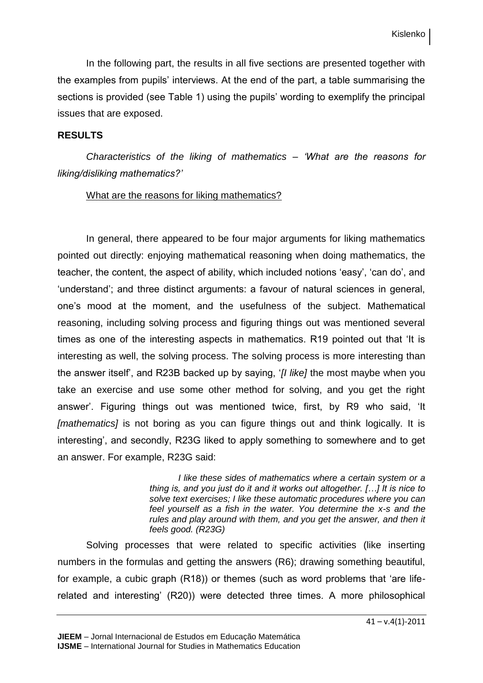In the following part, the results in all five sections are presented together with the examples from pupils' interviews. At the end of the part, a table summarising the sections is provided (see Table 1) using the pupils' wording to exemplify the principal issues that are exposed.

## **RESULTS**

*Characteristics of the liking of mathematics – 'What are the reasons for liking/disliking mathematics?'*

## What are the reasons for liking mathematics?

In general, there appeared to be four major arguments for liking mathematics pointed out directly: enjoying mathematical reasoning when doing mathematics, the teacher, the content, the aspect of ability, which included notions 'easy', 'can do', and 'understand'; and three distinct arguments: a favour of natural sciences in general, one's mood at the moment, and the usefulness of the subject. Mathematical reasoning, including solving process and figuring things out was mentioned several times as one of the interesting aspects in mathematics. R19 pointed out that 'It is interesting as well, the solving process. The solving process is more interesting than the answer itself', and R23B backed up by saying, '*[I like]* the most maybe when you take an exercise and use some other method for solving, and you get the right answer'. Figuring things out was mentioned twice, first, by R9 who said, 'It *[mathematics]* is not boring as you can figure things out and think logically. It is interesting', and secondly, R23G liked to apply something to somewhere and to get an answer. For example, R23G said:

> *I like these sides of mathematics where a certain system or a thing is, and you just do it and it works out altogether. […] It is nice to solve text exercises; I like these automatic procedures where you can feel yourself as a fish in the water. You determine the x-s and the rules and play around with them, and you get the answer, and then it feels good. (R23G)*

Solving processes that were related to specific activities (like inserting numbers in the formulas and getting the answers (R6); drawing something beautiful, for example, a cubic graph (R18)) or themes (such as word problems that 'are liferelated and interesting' (R20)) were detected three times. A more philosophical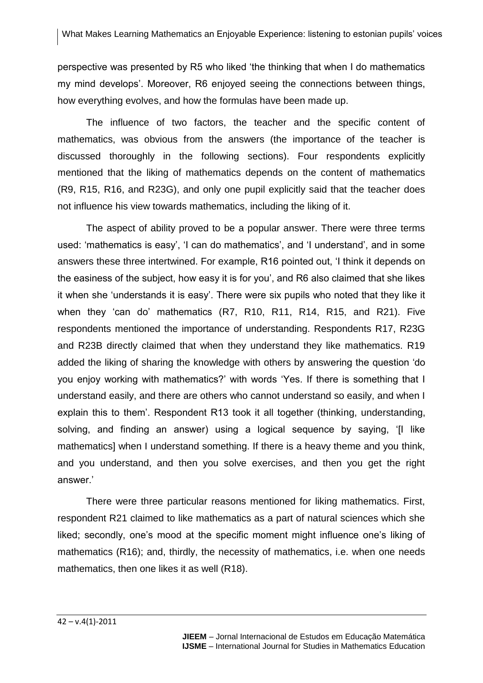perspective was presented by R5 who liked 'the thinking that when I do mathematics my mind develops'. Moreover, R6 enjoyed seeing the connections between things, how everything evolves, and how the formulas have been made up.

The influence of two factors, the teacher and the specific content of mathematics, was obvious from the answers (the importance of the teacher is discussed thoroughly in the following sections). Four respondents explicitly mentioned that the liking of mathematics depends on the content of mathematics (R9, R15, R16, and R23G), and only one pupil explicitly said that the teacher does not influence his view towards mathematics, including the liking of it.

The aspect of ability proved to be a popular answer. There were three terms used: 'mathematics is easy', 'I can do mathematics', and 'I understand', and in some answers these three intertwined. For example, R16 pointed out, 'I think it depends on the easiness of the subject, how easy it is for you', and R6 also claimed that she likes it when she 'understands it is easy'. There were six pupils who noted that they like it when they 'can do' mathematics (R7, R10, R11, R14, R15, and R21). Five respondents mentioned the importance of understanding. Respondents R17, R23G and R23B directly claimed that when they understand they like mathematics. R19 added the liking of sharing the knowledge with others by answering the question 'do you enjoy working with mathematics?' with words 'Yes. If there is something that I understand easily, and there are others who cannot understand so easily, and when I explain this to them'. Respondent R13 took it all together (thinking, understanding, solving, and finding an answer) using a logical sequence by saying, '[I like mathematics] when I understand something. If there is a heavy theme and you think, and you understand, and then you solve exercises, and then you get the right answer.'

There were three particular reasons mentioned for liking mathematics. First, respondent R21 claimed to like mathematics as a part of natural sciences which she liked; secondly, one's mood at the specific moment might influence one's liking of mathematics (R16); and, thirdly, the necessity of mathematics, i.e. when one needs mathematics, then one likes it as well (R18).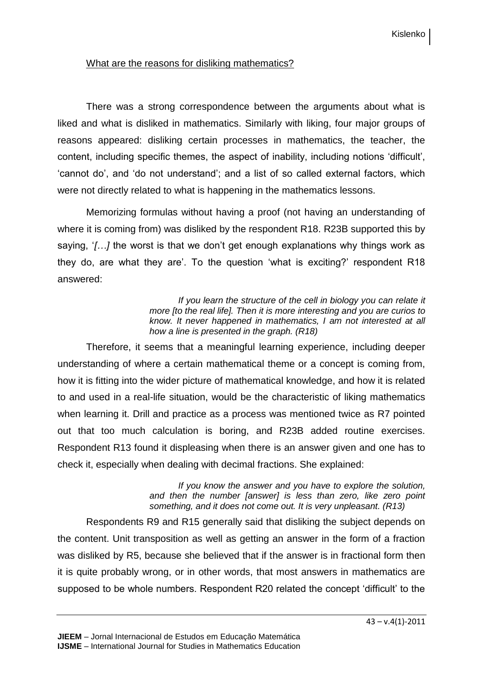## What are the reasons for disliking mathematics?

There was a strong correspondence between the arguments about what is liked and what is disliked in mathematics. Similarly with liking, four major groups of reasons appeared: disliking certain processes in mathematics, the teacher, the content, including specific themes, the aspect of inability, including notions 'difficult', 'cannot do', and 'do not understand'; and a list of so called external factors, which were not directly related to what is happening in the mathematics lessons.

Memorizing formulas without having a proof (not having an understanding of where it is coming from) was disliked by the respondent R18. R23B supported this by saying, '*[…]* the worst is that we don't get enough explanations why things work as they do, are what they are'. To the question 'what is exciting?' respondent R18 answered:

> *If you learn the structure of the cell in biology you can relate it more [to the real life]. Then it is more interesting and you are curios to know. It never happened in mathematics, I am not interested at all how a line is presented in the graph. (R18)*

Therefore, it seems that a meaningful learning experience, including deeper understanding of where a certain mathematical theme or a concept is coming from, how it is fitting into the wider picture of mathematical knowledge, and how it is related to and used in a real-life situation, would be the characteristic of liking mathematics when learning it. Drill and practice as a process was mentioned twice as R7 pointed out that too much calculation is boring, and R23B added routine exercises. Respondent R13 found it displeasing when there is an answer given and one has to check it, especially when dealing with decimal fractions. She explained:

> *If you know the answer and you have to explore the solution, and then the number [answer] is less than zero, like zero point something, and it does not come out. It is very unpleasant. (R13)*

Respondents R9 and R15 generally said that disliking the subject depends on the content. Unit transposition as well as getting an answer in the form of a fraction was disliked by R5, because she believed that if the answer is in fractional form then it is quite probably wrong, or in other words, that most answers in mathematics are supposed to be whole numbers. Respondent R20 related the concept 'difficult' to the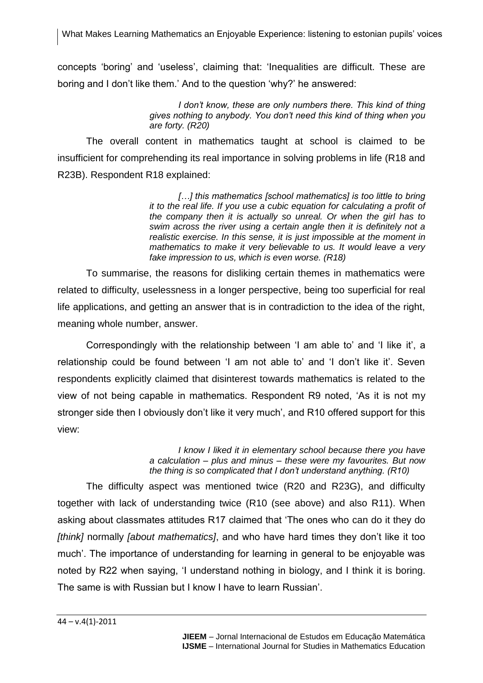concepts 'boring' and 'useless', claiming that: 'Inequalities are difficult. These are boring and I don't like them.' And to the question 'why?' he answered:

> *I don't know, these are only numbers there. This kind of thing gives nothing to anybody. You don't need this kind of thing when you are forty. (R20)*

The overall content in mathematics taught at school is claimed to be insufficient for comprehending its real importance in solving problems in life (R18 and R23B). Respondent R18 explained:

> [...] this mathematics [school mathematics] is too little to bring *it to the real life. If you use a cubic equation for calculating a profit of the company then it is actually so unreal. Or when the girl has to swim across the river using a certain angle then it is definitely not a realistic exercise. In this sense, it is just impossible at the moment in mathematics to make it very believable to us. It would leave a very fake impression to us, which is even worse. (R18)*

To summarise, the reasons for disliking certain themes in mathematics were related to difficulty, uselessness in a longer perspective, being too superficial for real life applications, and getting an answer that is in contradiction to the idea of the right, meaning whole number, answer.

Correspondingly with the relationship between 'I am able to' and 'I like it', a relationship could be found between 'I am not able to' and 'I don't like it'. Seven respondents explicitly claimed that disinterest towards mathematics is related to the view of not being capable in mathematics. Respondent R9 noted, 'As it is not my stronger side then I obviously don't like it very much', and R10 offered support for this view:

> *I know I liked it in elementary school because there you have a calculation – plus and minus – these were my favourites. But now the thing is so complicated that I don't understand anything. (R10)*

The difficulty aspect was mentioned twice (R20 and R23G), and difficulty together with lack of understanding twice (R10 (see above) and also R11). When asking about classmates attitudes R17 claimed that 'The ones who can do it they do *[think]* normally *[about mathematics]*, and who have hard times they don't like it too much'. The importance of understanding for learning in general to be enjoyable was noted by R22 when saying, 'I understand nothing in biology, and I think it is boring. The same is with Russian but I know I have to learn Russian'.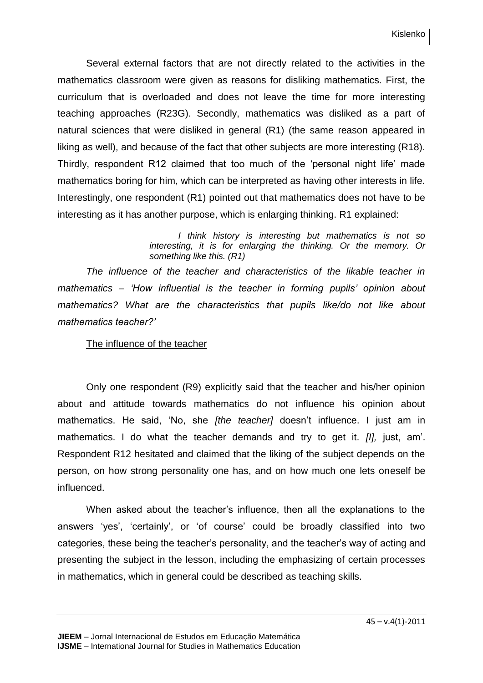Several external factors that are not directly related to the activities in the mathematics classroom were given as reasons for disliking mathematics. First, the curriculum that is overloaded and does not leave the time for more interesting teaching approaches (R23G). Secondly, mathematics was disliked as a part of natural sciences that were disliked in general (R1) (the same reason appeared in liking as well), and because of the fact that other subjects are more interesting (R18). Thirdly, respondent R12 claimed that too much of the 'personal night life' made mathematics boring for him, which can be interpreted as having other interests in life. Interestingly, one respondent (R1) pointed out that mathematics does not have to be interesting as it has another purpose, which is enlarging thinking. R1 explained:

> *I think history is interesting but mathematics is not so interesting, it is for enlarging the thinking. Or the memory. Or something like this. (R1)*

*The influence of the teacher and characteristics of the likable teacher in mathematics – 'How influential is the teacher in forming pupils' opinion about mathematics? What are the characteristics that pupils like/do not like about mathematics teacher?'*

## The influence of the teacher

Only one respondent (R9) explicitly said that the teacher and his/her opinion about and attitude towards mathematics do not influence his opinion about mathematics. He said, 'No, she *[the teacher]* doesn't influence. I just am in mathematics. I do what the teacher demands and try to get it. *[I],* just, am'. Respondent R12 hesitated and claimed that the liking of the subject depends on the person, on how strong personality one has, and on how much one lets oneself be influenced.

When asked about the teacher's influence, then all the explanations to the answers 'yes', 'certainly', or 'of course' could be broadly classified into two categories, these being the teacher's personality, and the teacher's way of acting and presenting the subject in the lesson, including the emphasizing of certain processes in mathematics, which in general could be described as teaching skills.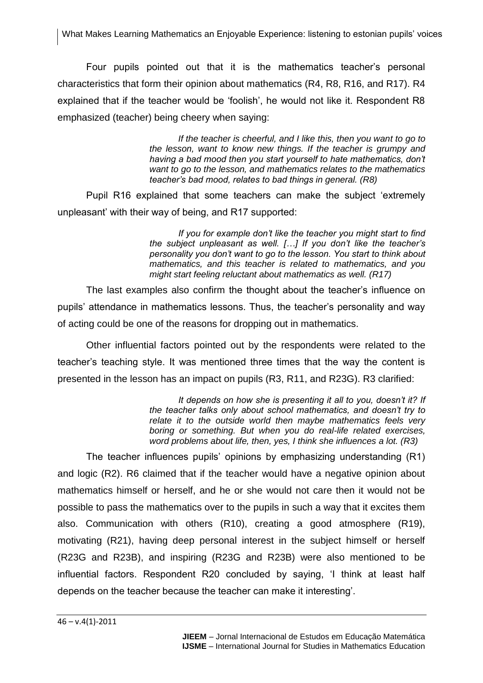Four pupils pointed out that it is the mathematics teacher's personal characteristics that form their opinion about mathematics (R4, R8, R16, and R17). R4 explained that if the teacher would be 'foolish', he would not like it. Respondent R8 emphasized (teacher) being cheery when saying:

> *If the teacher is cheerful, and I like this, then you want to go to the lesson, want to know new things. If the teacher is grumpy and having a bad mood then you start yourself to hate mathematics, don't want to go to the lesson, and mathematics relates to the mathematics teacher's bad mood, relates to bad things in general. (R8)*

Pupil R16 explained that some teachers can make the subject 'extremely unpleasant' with their way of being, and R17 supported:

> *If you for example don't like the teacher you might start to find the subject unpleasant as well. […] If you don't like the teacher's personality you don't want to go to the lesson. You start to think about mathematics, and this teacher is related to mathematics, and you might start feeling reluctant about mathematics as well. (R17)*

The last examples also confirm the thought about the teacher's influence on pupils' attendance in mathematics lessons. Thus, the teacher's personality and way of acting could be one of the reasons for dropping out in mathematics.

Other influential factors pointed out by the respondents were related to the teacher's teaching style. It was mentioned three times that the way the content is presented in the lesson has an impact on pupils (R3, R11, and R23G). R3 clarified:

> It depends on how she is presenting it all to you, doesn't it? If *the teacher talks only about school mathematics, and doesn't try to relate it to the outside world then maybe mathematics feels very boring or something. But when you do real-life related exercises, word problems about life, then, yes, I think she influences a lot. (R3)*

The teacher influences pupils' opinions by emphasizing understanding (R1) and logic (R2). R6 claimed that if the teacher would have a negative opinion about mathematics himself or herself, and he or she would not care then it would not be possible to pass the mathematics over to the pupils in such a way that it excites them also. Communication with others (R10), creating a good atmosphere (R19), motivating (R21), having deep personal interest in the subject himself or herself (R23G and R23B), and inspiring (R23G and R23B) were also mentioned to be influential factors. Respondent R20 concluded by saying, 'I think at least half depends on the teacher because the teacher can make it interesting'.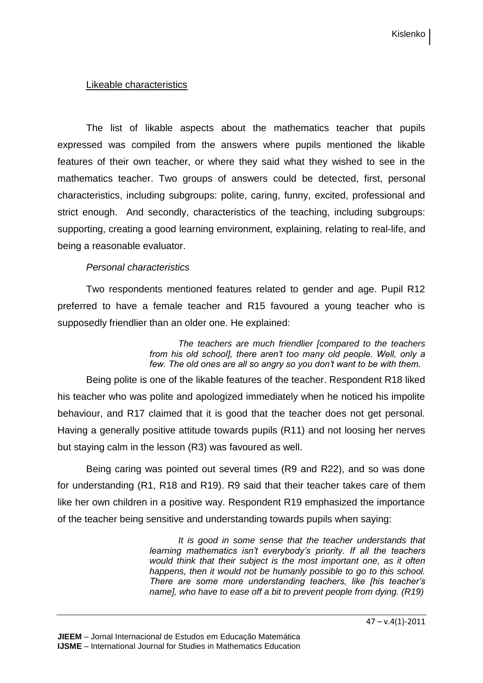## Likeable characteristics

The list of likable aspects about the mathematics teacher that pupils expressed was compiled from the answers where pupils mentioned the likable features of their own teacher, or where they said what they wished to see in the mathematics teacher. Two groups of answers could be detected, first, personal characteristics, including subgroups: polite, caring, funny, excited, professional and strict enough. And secondly, characteristics of the teaching, including subgroups: supporting, creating a good learning environment, explaining, relating to real-life, and being a reasonable evaluator.

## *Personal characteristics*

Two respondents mentioned features related to gender and age. Pupil R12 preferred to have a female teacher and R15 favoured a young teacher who is supposedly friendlier than an older one. He explained:

> *The teachers are much friendlier [compared to the teachers from his old school], there aren't too many old people. Well, only a few. The old ones are all so angry so you don't want to be with them.*

Being polite is one of the likable features of the teacher. Respondent R18 liked his teacher who was polite and apologized immediately when he noticed his impolite behaviour, and R17 claimed that it is good that the teacher does not get personal. Having a generally positive attitude towards pupils (R11) and not loosing her nerves but staying calm in the lesson (R3) was favoured as well.

Being caring was pointed out several times (R9 and R22), and so was done for understanding (R1, R18 and R19). R9 said that their teacher takes care of them like her own children in a positive way. Respondent R19 emphasized the importance of the teacher being sensitive and understanding towards pupils when saying:

> *It is good in some sense that the teacher understands that learning mathematics isn't everybody's priority. If all the teachers would think that their subject is the most important one, as it often happens, then it would not be humanly possible to go to this school. There are some more understanding teachers, like [his teacher's name], who have to ease off a bit to prevent people from dying. (R19)*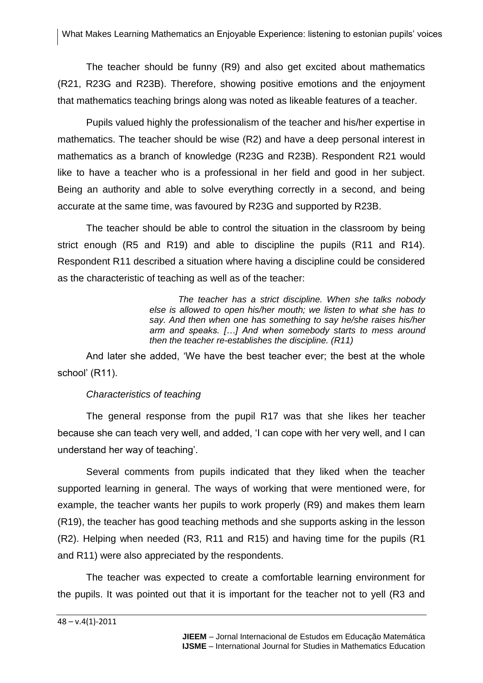The teacher should be funny (R9) and also get excited about mathematics (R21, R23G and R23B). Therefore, showing positive emotions and the enjoyment that mathematics teaching brings along was noted as likeable features of a teacher.

Pupils valued highly the professionalism of the teacher and his/her expertise in mathematics. The teacher should be wise (R2) and have a deep personal interest in mathematics as a branch of knowledge (R23G and R23B). Respondent R21 would like to have a teacher who is a professional in her field and good in her subject. Being an authority and able to solve everything correctly in a second, and being accurate at the same time, was favoured by R23G and supported by R23B.

The teacher should be able to control the situation in the classroom by being strict enough (R5 and R19) and able to discipline the pupils (R11 and R14). Respondent R11 described a situation where having a discipline could be considered as the characteristic of teaching as well as of the teacher:

> *The teacher has a strict discipline. When she talks nobody else is allowed to open his/her mouth; we listen to what she has to say. And then when one has something to say he/she raises his/her arm and speaks. […] And when somebody starts to mess around then the teacher re-establishes the discipline. (R11)*

And later she added, 'We have the best teacher ever; the best at the whole school' (R11).

## *Characteristics of teaching*

The general response from the pupil R17 was that she likes her teacher because she can teach very well, and added, 'I can cope with her very well, and I can understand her way of teaching'.

Several comments from pupils indicated that they liked when the teacher supported learning in general. The ways of working that were mentioned were, for example, the teacher wants her pupils to work properly (R9) and makes them learn (R19), the teacher has good teaching methods and she supports asking in the lesson (R2). Helping when needed (R3, R11 and R15) and having time for the pupils (R1 and R11) were also appreciated by the respondents.

The teacher was expected to create a comfortable learning environment for the pupils. It was pointed out that it is important for the teacher not to yell (R3 and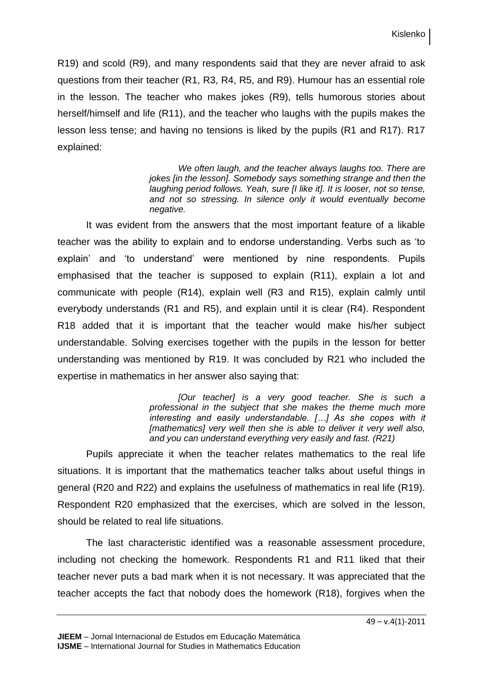R19) and scold (R9), and many respondents said that they are never afraid to ask questions from their teacher (R1, R3, R4, R5, and R9). Humour has an essential role in the lesson. The teacher who makes jokes (R9), tells humorous stories about herself/himself and life (R11), and the teacher who laughs with the pupils makes the lesson less tense; and having no tensions is liked by the pupils (R1 and R17). R17 explained:

> *We often laugh, and the teacher always laughs too. There are jokes [in the lesson]. Somebody says something strange and then the laughing period follows. Yeah, sure [I like it]. It is looser, not so tense, and not so stressing. In silence only it would eventually become negative.*

It was evident from the answers that the most important feature of a likable teacher was the ability to explain and to endorse understanding. Verbs such as 'to explain' and 'to understand' were mentioned by nine respondents. Pupils emphasised that the teacher is supposed to explain (R11), explain a lot and communicate with people (R14), explain well (R3 and R15), explain calmly until everybody understands (R1 and R5), and explain until it is clear (R4). Respondent R18 added that it is important that the teacher would make his/her subject understandable. Solving exercises together with the pupils in the lesson for better understanding was mentioned by R19. It was concluded by R21 who included the expertise in mathematics in her answer also saying that:

> *[Our teacher] is a very good teacher. She is such a professional in the subject that she makes the theme much more interesting and easily understandable. […] As she copes with it*  [mathematics] very well then she is able to deliver it very well also, *and you can understand everything very easily and fast. (R21)*

Pupils appreciate it when the teacher relates mathematics to the real life situations. It is important that the mathematics teacher talks about useful things in general (R20 and R22) and explains the usefulness of mathematics in real life (R19). Respondent R20 emphasized that the exercises, which are solved in the lesson, should be related to real life situations.

The last characteristic identified was a reasonable assessment procedure, including not checking the homework. Respondents R1 and R11 liked that their teacher never puts a bad mark when it is not necessary. It was appreciated that the teacher accepts the fact that nobody does the homework (R18), forgives when the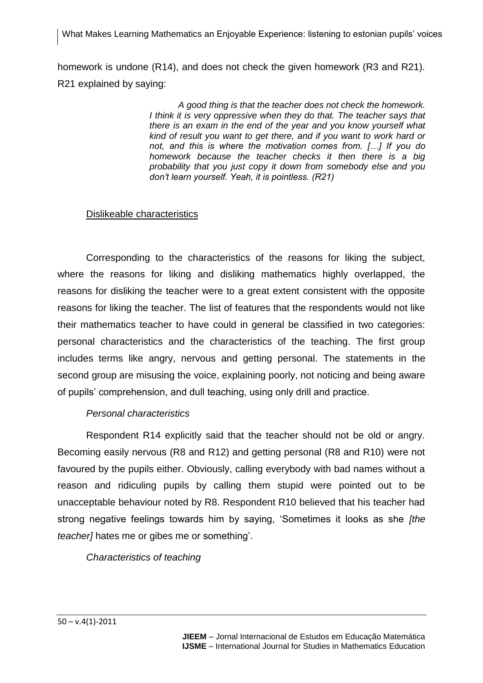homework is undone (R14), and does not check the given homework (R3 and R21). R21 explained by saying:

> *A good thing is that the teacher does not check the homework. I think it is very oppressive when they do that. The teacher says that there is an exam in the end of the year and you know yourself what kind of result you want to get there, and if you want to work hard or not, and this is where the motivation comes from. […] If you do homework because the teacher checks it then there is a big probability that you just copy it down from somebody else and you don't learn yourself. Yeah, it is pointless. (R21)*

## Dislikeable characteristics

Corresponding to the characteristics of the reasons for liking the subject, where the reasons for liking and disliking mathematics highly overlapped, the reasons for disliking the teacher were to a great extent consistent with the opposite reasons for liking the teacher. The list of features that the respondents would not like their mathematics teacher to have could in general be classified in two categories: personal characteristics and the characteristics of the teaching. The first group includes terms like angry, nervous and getting personal. The statements in the second group are misusing the voice, explaining poorly, not noticing and being aware of pupils' comprehension, and dull teaching, using only drill and practice.

## *Personal characteristics*

Respondent R14 explicitly said that the teacher should not be old or angry. Becoming easily nervous (R8 and R12) and getting personal (R8 and R10) were not favoured by the pupils either. Obviously, calling everybody with bad names without a reason and ridiculing pupils by calling them stupid were pointed out to be unacceptable behaviour noted by R8. Respondent R10 believed that his teacher had strong negative feelings towards him by saying, 'Sometimes it looks as she *[the teacher]* hates me or gibes me or something'.

*Characteristics of teaching*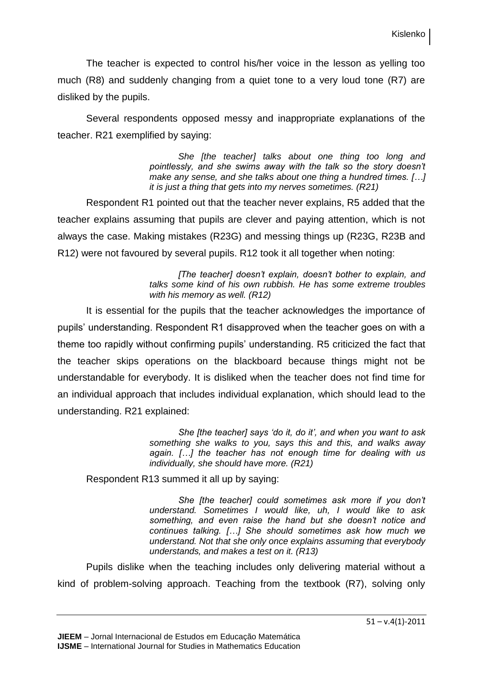The teacher is expected to control his/her voice in the lesson as yelling too much (R8) and suddenly changing from a quiet tone to a very loud tone (R7) are disliked by the pupils.

Several respondents opposed messy and inappropriate explanations of the teacher. R21 exemplified by saying:

> *She [the teacher] talks about one thing too long and pointlessly, and she swims away with the talk so the story doesn't make any sense, and she talks about one thing a hundred times. […] it is just a thing that gets into my nerves sometimes. (R21)*

Respondent R1 pointed out that the teacher never explains, R5 added that the teacher explains assuming that pupils are clever and paying attention, which is not always the case. Making mistakes (R23G) and messing things up (R23G, R23B and R12) were not favoured by several pupils. R12 took it all together when noting:

> *[The teacher] doesn't explain, doesn't bother to explain, and talks some kind of his own rubbish. He has some extreme troubles with his memory as well. (R12)*

It is essential for the pupils that the teacher acknowledges the importance of pupils' understanding. Respondent R1 disapproved when the teacher goes on with a theme too rapidly without confirming pupils' understanding. R5 criticized the fact that the teacher skips operations on the blackboard because things might not be understandable for everybody. It is disliked when the teacher does not find time for an individual approach that includes individual explanation, which should lead to the understanding. R21 explained:

> *She [the teacher] says 'do it, do it', and when you want to ask something she walks to you, says this and this, and walks away again. […] the teacher has not enough time for dealing with us individually, she should have more. (R21)*

Respondent R13 summed it all up by saying:

*She [the teacher] could sometimes ask more if you don't understand. Sometimes I would like, uh, I would like to ask something, and even raise the hand but she doesn't notice and continues talking. […] She should sometimes ask how much we understand. Not that she only once explains assuming that everybody understands, and makes a test on it. (R13)* 

Pupils dislike when the teaching includes only delivering material without a kind of problem-solving approach. Teaching from the textbook (R7), solving only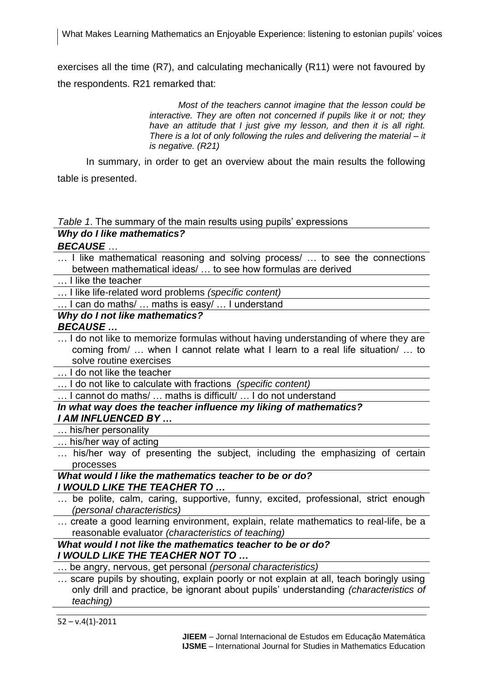exercises all the time (R7), and calculating mechanically (R11) were not favoured by the respondents. R21 remarked that:

> *Most of the teachers cannot imagine that the lesson could be interactive. They are often not concerned if pupils like it or not; they have an attitude that I just give my lesson, and then it is all right. There is a lot of only following the rules and delivering the material – it is negative. (R21)*

In summary, in order to get an overview about the main results the following table is presented.

*Table 1*. The summary of the main results using pupils' expressions

## *Why do I like mathematics?*

## *BECAUSE …*

… I like mathematical reasoning and solving process/ … to see the connections between mathematical ideas/ … to see how formulas are derived

… I like the teacher

… I like life-related word problems *(specific content)*

… I can do maths/ … maths is easy/ … I understand

## *Why do I not like mathematics?*

## *BECAUSE …*

… I do not like to memorize formulas without having understanding of where they are coming from/ … when I cannot relate what I learn to a real life situation/ … to solve routine exercises

… I do not like the teacher

… I do not like to calculate with fractions *(specific content)*

… I cannot do maths/ … maths is difficult/ … I do not understand

*In what way does the teacher influence my liking of mathematics? I AM INFLUENCED BY …*

… his/her personality

… his/her way of acting

… his/her way of presenting the subject, including the emphasizing of certain processes

*What would I like the mathematics teacher to be or do? I WOULD LIKE THE TEACHER TO …*

- … be polite, calm, caring, supportive, funny, excited, professional, strict enough *(personal characteristics)*
- … create a good learning environment, explain, relate mathematics to real-life, be a reasonable evaluator *(characteristics of teaching)*

#### *What would I not like the mathematics teacher to be or do? I WOULD LIKE THE TEACHER NOT TO …*

… be angry, nervous, get personal *(personal characteristics)*

… scare pupils by shouting, explain poorly or not explain at all, teach boringly using only drill and practice, be ignorant about pupils' understanding *(characteristics of teaching)*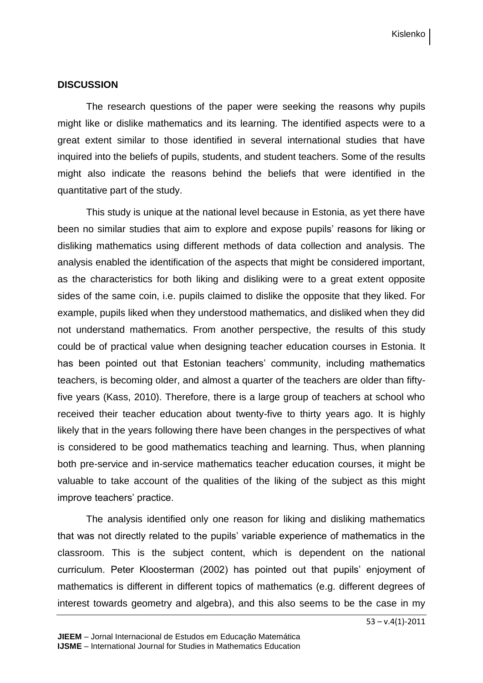#### **DISCUSSION**

The research questions of the paper were seeking the reasons why pupils might like or dislike mathematics and its learning. The identified aspects were to a great extent similar to those identified in several international studies that have inquired into the beliefs of pupils, students, and student teachers. Some of the results might also indicate the reasons behind the beliefs that were identified in the quantitative part of the study.

This study is unique at the national level because in Estonia, as yet there have been no similar studies that aim to explore and expose pupils' reasons for liking or disliking mathematics using different methods of data collection and analysis. The analysis enabled the identification of the aspects that might be considered important, as the characteristics for both liking and disliking were to a great extent opposite sides of the same coin, i.e. pupils claimed to dislike the opposite that they liked. For example, pupils liked when they understood mathematics, and disliked when they did not understand mathematics. From another perspective, the results of this study could be of practical value when designing teacher education courses in Estonia. It has been pointed out that Estonian teachers' community, including mathematics teachers, is becoming older, and almost a quarter of the teachers are older than fiftyfive years (Kass, 2010). Therefore, there is a large group of teachers at school who received their teacher education about twenty-five to thirty years ago. It is highly likely that in the years following there have been changes in the perspectives of what is considered to be good mathematics teaching and learning. Thus, when planning both pre-service and in-service mathematics teacher education courses, it might be valuable to take account of the qualities of the liking of the subject as this might improve teachers' practice.

The analysis identified only one reason for liking and disliking mathematics that was not directly related to the pupils' variable experience of mathematics in the classroom. This is the subject content, which is dependent on the national curriculum. Peter Kloosterman (2002) has pointed out that pupils' enjoyment of mathematics is different in different topics of mathematics (e.g. different degrees of interest towards geometry and algebra), and this also seems to be the case in my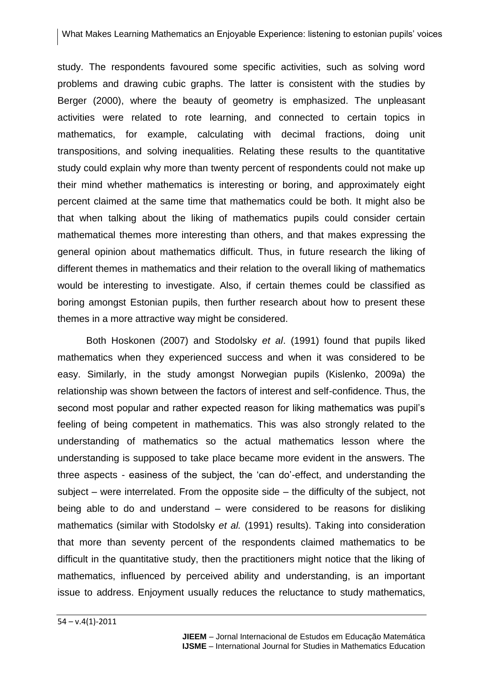study. The respondents favoured some specific activities, such as solving word problems and drawing cubic graphs. The latter is consistent with the studies by Berger (2000), where the beauty of geometry is emphasized. The unpleasant activities were related to rote learning, and connected to certain topics in mathematics, for example, calculating with decimal fractions, doing unit transpositions, and solving inequalities. Relating these results to the quantitative study could explain why more than twenty percent of respondents could not make up their mind whether mathematics is interesting or boring, and approximately eight percent claimed at the same time that mathematics could be both. It might also be that when talking about the liking of mathematics pupils could consider certain mathematical themes more interesting than others, and that makes expressing the general opinion about mathematics difficult. Thus, in future research the liking of different themes in mathematics and their relation to the overall liking of mathematics would be interesting to investigate. Also, if certain themes could be classified as boring amongst Estonian pupils, then further research about how to present these themes in a more attractive way might be considered.

Both Hoskonen (2007) and Stodolsky *et al*. (1991) found that pupils liked mathematics when they experienced success and when it was considered to be easy. Similarly, in the study amongst Norwegian pupils (Kislenko, 2009a) the relationship was shown between the factors of interest and self-confidence. Thus, the second most popular and rather expected reason for liking mathematics was pupil's feeling of being competent in mathematics. This was also strongly related to the understanding of mathematics so the actual mathematics lesson where the understanding is supposed to take place became more evident in the answers. The three aspects - easiness of the subject, the 'can do'-effect, and understanding the subject – were interrelated. From the opposite side – the difficulty of the subject, not being able to do and understand – were considered to be reasons for disliking mathematics (similar with Stodolsky *et al.* (1991) results). Taking into consideration that more than seventy percent of the respondents claimed mathematics to be difficult in the quantitative study, then the practitioners might notice that the liking of mathematics, influenced by perceived ability and understanding, is an important issue to address. Enjoyment usually reduces the reluctance to study mathematics,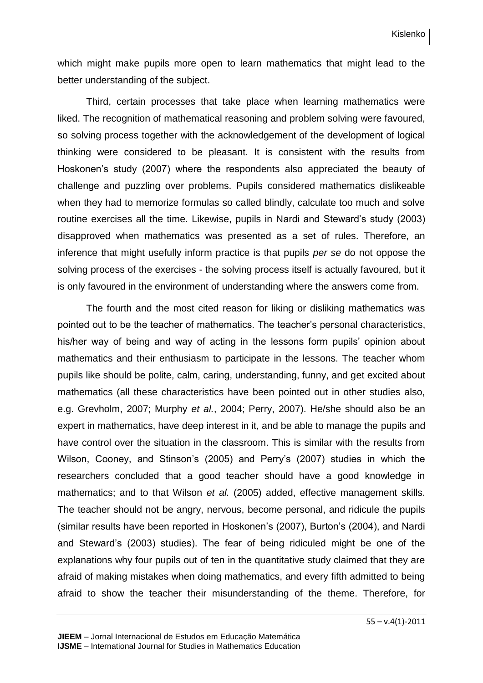which might make pupils more open to learn mathematics that might lead to the better understanding of the subject.

Third, certain processes that take place when learning mathematics were liked. The recognition of mathematical reasoning and problem solving were favoured, so solving process together with the acknowledgement of the development of logical thinking were considered to be pleasant. It is consistent with the results from Hoskonen's study (2007) where the respondents also appreciated the beauty of challenge and puzzling over problems. Pupils considered mathematics dislikeable when they had to memorize formulas so called blindly, calculate too much and solve routine exercises all the time. Likewise, pupils in Nardi and Steward's study (2003) disapproved when mathematics was presented as a set of rules. Therefore, an inference that might usefully inform practice is that pupils *per se* do not oppose the solving process of the exercises - the solving process itself is actually favoured, but it is only favoured in the environment of understanding where the answers come from.

The fourth and the most cited reason for liking or disliking mathematics was pointed out to be the teacher of mathematics. The teacher's personal characteristics, his/her way of being and way of acting in the lessons form pupils' opinion about mathematics and their enthusiasm to participate in the lessons. The teacher whom pupils like should be polite, calm, caring, understanding, funny, and get excited about mathematics (all these characteristics have been pointed out in other studies also, e.g. Grevholm, 2007; Murphy *et al.*, 2004; Perry, 2007). He/she should also be an expert in mathematics, have deep interest in it, and be able to manage the pupils and have control over the situation in the classroom. This is similar with the results from Wilson, Cooney, and Stinson's (2005) and Perry's (2007) studies in which the researchers concluded that a good teacher should have a good knowledge in mathematics; and to that Wilson *et al.* (2005) added, effective management skills. The teacher should not be angry, nervous, become personal, and ridicule the pupils (similar results have been reported in Hoskonen's (2007), Burton's (2004), and Nardi and Steward's (2003) studies). The fear of being ridiculed might be one of the explanations why four pupils out of ten in the quantitative study claimed that they are afraid of making mistakes when doing mathematics, and every fifth admitted to being afraid to show the teacher their misunderstanding of the theme. Therefore, for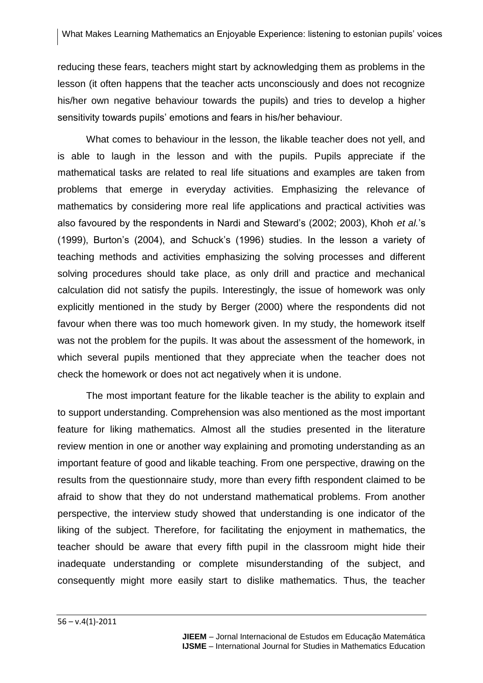reducing these fears, teachers might start by acknowledging them as problems in the lesson (it often happens that the teacher acts unconsciously and does not recognize his/her own negative behaviour towards the pupils) and tries to develop a higher sensitivity towards pupils' emotions and fears in his/her behaviour.

What comes to behaviour in the lesson, the likable teacher does not yell, and is able to laugh in the lesson and with the pupils. Pupils appreciate if the mathematical tasks are related to real life situations and examples are taken from problems that emerge in everyday activities. Emphasizing the relevance of mathematics by considering more real life applications and practical activities was also favoured by the respondents in Nardi and Steward's (2002; 2003), Khoh *et al.*'s (1999), Burton's (2004), and Schuck's (1996) studies. In the lesson a variety of teaching methods and activities emphasizing the solving processes and different solving procedures should take place, as only drill and practice and mechanical calculation did not satisfy the pupils. Interestingly, the issue of homework was only explicitly mentioned in the study by Berger (2000) where the respondents did not favour when there was too much homework given. In my study, the homework itself was not the problem for the pupils. It was about the assessment of the homework, in which several pupils mentioned that they appreciate when the teacher does not check the homework or does not act negatively when it is undone.

The most important feature for the likable teacher is the ability to explain and to support understanding. Comprehension was also mentioned as the most important feature for liking mathematics. Almost all the studies presented in the literature review mention in one or another way explaining and promoting understanding as an important feature of good and likable teaching. From one perspective, drawing on the results from the questionnaire study, more than every fifth respondent claimed to be afraid to show that they do not understand mathematical problems. From another perspective, the interview study showed that understanding is one indicator of the liking of the subject. Therefore, for facilitating the enjoyment in mathematics, the teacher should be aware that every fifth pupil in the classroom might hide their inadequate understanding or complete misunderstanding of the subject, and consequently might more easily start to dislike mathematics. Thus, the teacher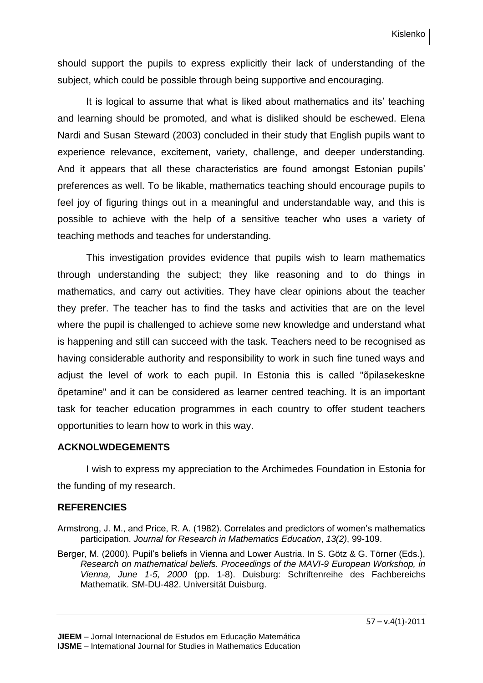should support the pupils to express explicitly their lack of understanding of the subject, which could be possible through being supportive and encouraging.

It is logical to assume that what is liked about mathematics and its' teaching and learning should be promoted, and what is disliked should be eschewed. Elena Nardi and Susan Steward (2003) concluded in their study that English pupils want to experience relevance, excitement, variety, challenge, and deeper understanding. And it appears that all these characteristics are found amongst Estonian pupils' preferences as well. To be likable, mathematics teaching should encourage pupils to feel joy of figuring things out in a meaningful and understandable way, and this is possible to achieve with the help of a sensitive teacher who uses a variety of teaching methods and teaches for understanding.

This investigation provides evidence that pupils wish to learn mathematics through understanding the subject; they like reasoning and to do things in mathematics, and carry out activities. They have clear opinions about the teacher they prefer. The teacher has to find the tasks and activities that are on the level where the pupil is challenged to achieve some new knowledge and understand what is happening and still can succeed with the task. Teachers need to be recognised as having considerable authority and responsibility to work in such fine tuned ways and adjust the level of work to each pupil. In Estonia this is called "õpilasekeskne õpetamine" and it can be considered as learner centred teaching. It is an important task for teacher education programmes in each country to offer student teachers opportunities to learn how to work in this way.

## **ACKNOLWDEGEMENTS**

I wish to express my appreciation to the Archimedes Foundation in Estonia for the funding of my research.

## **REFERENCIES**

- Armstrong, J. M., and Price, R. A. (1982). Correlates and predictors of women's mathematics participation. *Journal for Research in Mathematics Education*, *13(2)*, 99-109.
- Berger, M. (2000). Pupil's beliefs in Vienna and Lower Austria. In S. Götz & G. Törner (Eds.), *Research on mathematical beliefs. Proceedings of the MAVI-9 European Workshop, in Vienna, June 1-5, 2000* (pp. 1-8). Duisburg: Schriftenreihe des Fachbereichs Mathematik. SM-DU-482. Universität Duisburg.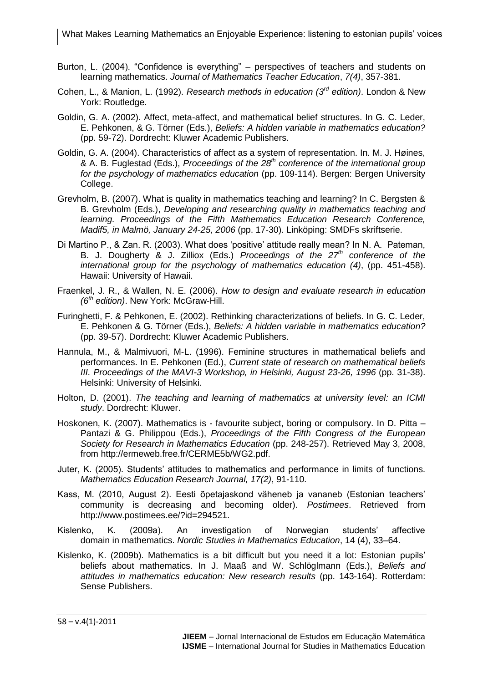- Burton, L. (2004). "Confidence is everything" perspectives of teachers and students on learning mathematics. *Journal of Mathematics Teacher Education*, *7(4)*, 357-381.
- Cohen, L., & Manion, L. (1992). *Research methods in education (3rd edition)*. London & New York: Routledge.
- Goldin, G. A. (2002). Affect, meta-affect, and mathematical belief structures. In G. C. Leder, E. Pehkonen, & G. Törner (Eds.), *Beliefs: A hidden variable in mathematics education?* (pp. 59-72). Dordrecht: Kluwer Academic Publishers.
- Goldin, G. A. (2004). Characteristics of affect as a system of representation. In. M. J. Høines, & A. B. Fuglestad (Eds.), *Proceedings of the 28th conference of the international group for the psychology of mathematics education* (pp. 109-114). Bergen: Bergen University College.
- Grevholm, B. (2007). What is quality in mathematics teaching and learning? In C. Bergsten & B. Grevholm (Eds.), *Developing and researching quality in mathematics teaching and learning. Proceedings of the Fifth Mathematics Education Research Conference, Madif5, in Malmö, January 24-25, 2006* (pp. 17-30). Linköping: SMDFs skriftserie.
- Di Martino P., & Zan. R. (2003). What does 'positive' attitude really mean? In N. A. Pateman, B. J. Dougherty & J. Zilliox (Eds.) *Proceedings of the 27th conference of the international group for the psychology of mathematics education (4)*, (pp. 451-458). Hawaii: University of Hawaii.
- Fraenkel, J. R., & Wallen, N. E. (2006). *How to design and evaluate research in education (6th edition)*. New York: McGraw-Hill.
- Furinghetti, F. & Pehkonen, E. (2002). Rethinking characterizations of beliefs. In G. C. Leder, E. Pehkonen & G. Törner (Eds.), *Beliefs: A hidden variable in mathematics education?* (pp. 39-57). Dordrecht: Kluwer Academic Publishers.
- Hannula, M., & Malmivuori, M-L. (1996). Feminine structures in mathematical beliefs and performances. In E. Pehkonen (Ed.), *Current state of research on mathematical beliefs III. Proceedings of the MAVI-3 Workshop, in Helsinki, August 23-26, 1996* (pp. 31-38). Helsinki: University of Helsinki.
- Holton, D. (2001). *The teaching and learning of mathematics at university level: an ICMI study*. Dordrecht: Kluwer.
- Hoskonen, K. (2007). Mathematics is favourite subject, boring or compulsory. In D. Pitta Pantazi & G. Philippou (Eds.), *Proceedings of the Fifth Congress of the European Society for Research in Mathematics Education* (pp. 248-257). Retrieved May 3, 2008, from http://ermeweb.free.fr/CERME5b/WG2.pdf.
- Juter, K. (2005). Students' attitudes to mathematics and performance in limits of functions. *Mathematics Education Research Journal, 17(2)*, 91-110.
- Kass, M. (2010, August 2). Eesti õpetajaskond väheneb ja vananeb (Estonian teachers' community is decreasing and becoming older). *Postimees*. Retrieved from http://www.postimees.ee/?id=294521.
- Kislenko, K. (2009a). An investigation of Norwegian students' affective domain in mathematics. *Nordic Studies in Mathematics Education*, 14 (4), 33–64.
- Kislenko, K. (2009b). Mathematics is a bit difficult but you need it a lot: Estonian pupils' beliefs about mathematics. In J. Maaß and W. Schlöglmann (Eds.), *Beliefs and attitudes in mathematics education: New research results* (pp. 143-164). Rotterdam: Sense Publishers.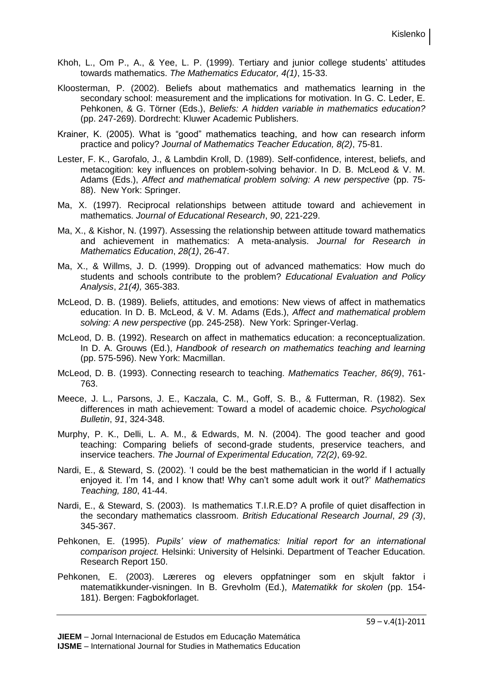- Khoh, L., Om P., A., & Yee, L. P. (1999). Tertiary and junior college students' attitudes towards mathematics. *The Mathematics Educator, 4(1)*, 15-33.
- Kloosterman, P. (2002). Beliefs about mathematics and mathematics learning in the secondary school: measurement and the implications for motivation. In G. C. Leder, E. Pehkonen, & G. Törner (Eds.), *Beliefs: A hidden variable in mathematics education?* (pp. 247-269). Dordrecht: Kluwer Academic Publishers.
- Krainer, K. (2005). What is "good" mathematics teaching, and how can research inform practice and policy? *Journal of Mathematics Teacher Education, 8(2)*, 75-81.
- Lester, F. K., Garofalo, J., & Lambdin Kroll, D. (1989). Self-confidence, interest, beliefs, and metacogition: key influences on problem-solving behavior. In D. B. McLeod & V. M. Adams (Eds.), *Affect and mathematical problem solving: A new perspective* (pp. 75- 88). New York: Springer.
- Ma, X. (1997). Reciprocal relationships between attitude toward and achievement in mathematics. *Journal of Educational Research*, *90*, 221-229.
- Ma, X., & Kishor, N. (1997). Assessing the relationship between attitude toward mathematics and achievement in mathematics: A meta-analysis. *Journal for Research in Mathematics Education*, *28(1)*, 26-47.
- Ma, X., & Willms, J. D. (1999). Dropping out of advanced mathematics: How much do students and schools contribute to the problem? *Educational Evaluation and Policy Analysis*, *21(4),* 365-383.
- McLeod, D. B. (1989). Beliefs, attitudes, and emotions: New views of affect in mathematics education. In D. B. McLeod, & V. M. Adams (Eds.), *Affect and mathematical problem solving: A new perspective* (pp. 245-258). New York: Springer-Verlag.
- McLeod, D. B. (1992). Research on affect in mathematics education: a reconceptualization. In D. A. Grouws (Ed.), *Handbook of research on mathematics teaching and learning* (pp. 575-596). New York: Macmillan.
- McLeod, D. B. (1993). Connecting research to teaching. *Mathematics Teacher, 86(9)*, 761- 763.
- Meece, J. L., Parsons, J. E., Kaczala, C. M., Goff, S. B., & Futterman, R. (1982). Sex differences in math achievement: Toward a model of academic choice*. Psychological Bulletin*, *91*, 324-348.
- Murphy, P. K., Delli, L. A. M., & Edwards, M. N. (2004). The good teacher and good teaching: Comparing beliefs of second-grade students, preservice teachers, and inservice teachers. *The Journal of Experimental Education, 72(2)*, 69-92.
- Nardi, E., & Steward, S. (2002). 'I could be the best mathematician in the world if I actually enjoyed it. I'm 14, and I know that! Why can't some adult work it out?' *Mathematics Teaching, 180*, 41-44.
- Nardi, E., & Steward, S. (2003).Is mathematics T.I.R.E.D? A profile of quiet disaffection in the secondary mathematics classroom. *British Educational Research Journal*, *29 (3)*, 345-367.
- Pehkonen, E. (1995). *Pupils' view of mathematics: Initial report for an international comparison project.* Helsinki: University of Helsinki. Department of Teacher Education. Research Report 150.
- Pehkonen, E. (2003). Læreres og elevers oppfatninger som en skjult faktor i matematikkunder-visningen. In B. Grevholm (Ed.), *Matematikk for skolen* (pp. 154- 181). Bergen: Fagbokforlaget.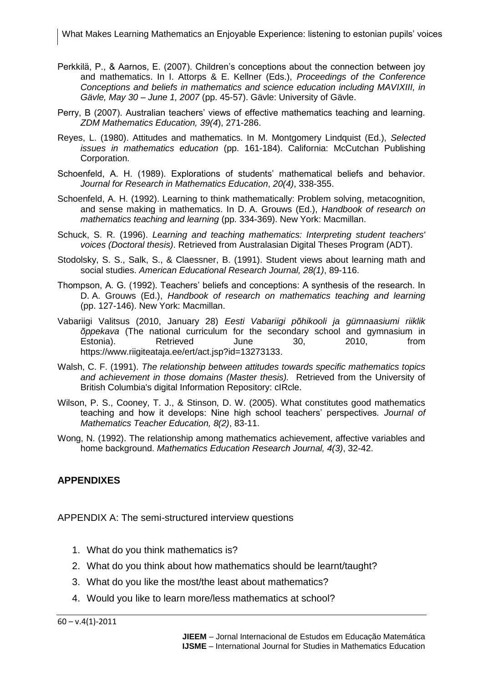- Perkkilä, P., & Aarnos, E. (2007). Children's conceptions about the connection between joy and mathematics. In I. Attorps & E. Kellner (Eds.), *Proceedings of the Conference Conceptions and beliefs in mathematics and science education including MAVIXIII, in Gävle, May 30 – June 1, 2007* (pp. 45-57). Gävle: University of Gävle.
- Perry, B (2007). Australian teachers' views of effective mathematics teaching and learning. *ZDM Mathematics Education, 39(4*), 271-286.
- Reyes, L. (1980). Attitudes and mathematics. In M. Montgomery Lindquist (Ed.), *Selected issues in mathematics education* (pp. 161-184). California: McCutchan Publishing Corporation.
- Schoenfeld, A. H. (1989). Explorations of students' mathematical beliefs and behavior. *Journal for Research in Mathematics Education*, *20(4)*, 338-355.
- Schoenfeld, A. H. (1992). Learning to think mathematically: Problem solving, metacognition, and sense making in mathematics. In D. A. Grouws (Ed.), *Handbook of research on mathematics teaching and learning* (pp. 334-369). New York: Macmillan.
- Schuck, S. R. (1996). *Learning and teaching mathematics: Interpreting student teachers' voices (Doctoral thesis)*. Retrieved from Australasian Digital Theses Program (ADT).
- Stodolsky, S. S., Salk, S., & Claessner, B. (1991). Student views about learning math and social studies. *American Educational Research Journal, 28(1)*, 89-116.
- Thompson, A. G. (1992). Teachers' beliefs and conceptions: A synthesis of the research. In D. A. Grouws (Ed.), *Handbook of research on mathematics teaching and learning* (pp. 127-146). New York: Macmillan.
- Vabariigi Valitsus (2010, January 28) *Eesti Vabariigi põhikooli ja gümnaasiumi riiklik õppekava* (The national curriculum for the secondary school and gymnasium in Estonia). Retrieved June 30, 2010, from https://www.riigiteataja.ee/ert/act.jsp?id=13273133.
- Walsh, C. F. (1991). *The relationship between attitudes towards specific mathematics topics and achievement in those domains (Master thesis).* Retrieved from the University of British Columbia's digital Information Repository: cIRcle.
- Wilson, P. S., Cooney, T. J., & Stinson, D. W. (2005). What constitutes good mathematics teaching and how it develops: Nine high school teachers' perspectives*. Journal of Mathematics Teacher Education, 8(2)*, 83-11.
- Wong, N. (1992). The relationship among mathematics achievement, affective variables and home background. *Mathematics Education Research Journal, 4(3)*, 32-42.

## **APPENDIXES**

APPENDIX A: The semi-structured interview questions

- 1. What do you think mathematics is?
- 2. What do you think about how mathematics should be learnt/taught?
- 3. What do you like the most/the least about mathematics?
- 4. Would you like to learn more/less mathematics at school?